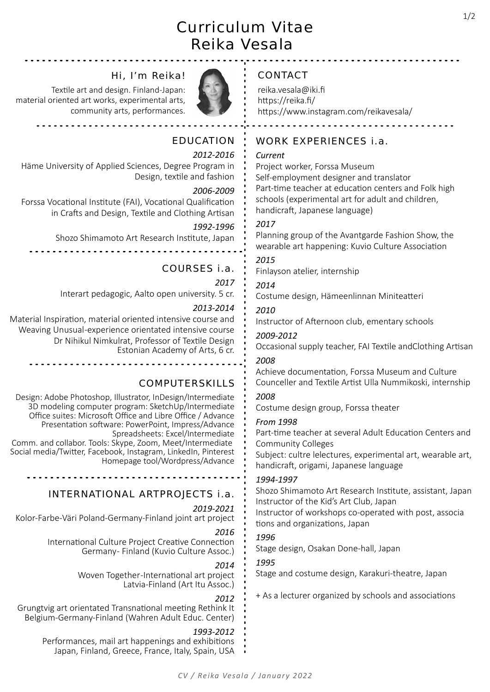# Curriculum Vitae Reika Vesala

# Hi, I'm Reika!

Textile art and design. Finland-Japan: material oriented art works, experimental arts, community arts, performances.



# EDUCATION

### 2012-2016

Häme University of Applied Sciences, Degree Program in Design, texƟle and fashion

<u>. . . . . . . . . . . . . . . .</u> .

### 2006-2009

Forssa Vocational Institute (FAI), Vocational Qualification in Crafts and Design, Textile and Clothing Artisan

### 1992-1996

Shozo Shimamoto Art Research Institute, Japan

# COURSES i.a.

### 2017

Interart pedagogic, Aalto open university. 5 cr.

### 2013-2014

Material Inspiration, material oriented intensive course and Weaving Unusual -experience orientated intensive course Dr Nihikul Nimkulrat, Professor of Textile Design Estonian Academy of Arts, 6 cr.

# COMPUTERSKILLS

Design: Adobe Photoshop, Illustrator, InDesign/Intermediate 3D modeling computer program: SketchUp/Intermediate Office suites: Microsoft Office and Libre Office / Advance Presentation software: PowerPoint, Impress/Advance Spreadsheets: Excel/Intermediate Comm. and collabor. Tools: Skype, Zoom, Meet/Intermediate Social media/Twitter, Facebook, Instagram, LinkedIn, Pinterest Homepage tool/Wordpress/Advance

# INTERNATIONAL ARTPROJECTS i.a.

#### 2019-2021

Kolor-Farbe-Väri Poland-Germany-Finland joint art project

#### 2016

International Culture Project Creative Connection Germany- Finland (Kuvio Culture Assoc.)

#### 2014

Woven Together-International art project Latvia-Finland (Art Itu Assoc.)

#### 2012

Grungtvig art orientated Transnational meeting Rethink It Belgium-Germany-Finland (Wahren Adult Educ. Center)

#### 1993-2012

Performances, mail art happenings and exhibitions Japan, Finland, Greece, France, Italy, Spain, USA

# CONTACT

reika.vesala@iki.fi https://reika.fi/ https://www.instagram.com/reikavesala/

# WORK EXPERIENCES i.a.

#### Current

Project worker, Forssa Museum Self-employment designer and translator Part-time teacher at education centers and Folk high schools (experimental art for adult and children, handicraft, Japanese language)

## 2017

Planning group of the Avantgarde Fashion Show, the wearable art happening: Kuvio Culture Association

# 2015

Finlayson atelier, internship

# 2014

Costume design, Hämeenlinnan Miniteatteri

## 2010

Instructor of Afternoon club, ementary schools

### 2009-2012

Occasional supply teacher, FAI Textile andClothing Artisan

## 2008

Achieve documentation, Forssa Museum and Culture Counceller and Textile Artist Ulla Nummikoski, internship

## 2008

Costume design group, Forssa theater

#### From 1998

Part-time teacher at several Adult Education Centers and Community Colleges

Subject: cultre lelectures, experimental art, wearable art, handicraft, origami, Japanese language

#### 1994-1997

Shozo Shimamoto Art Research Institute, assistant, Japan Instructor of the Kid's Art Club, Japan Instructor of workshops co-operated with post, associa tions and organizations, Japan

## 1996

Stage design, Osakan Done-hall, Japan

## 1995

Stage and costume design, Karakuri-theatre, Japan

+ As a lecturer organized by schools and associations